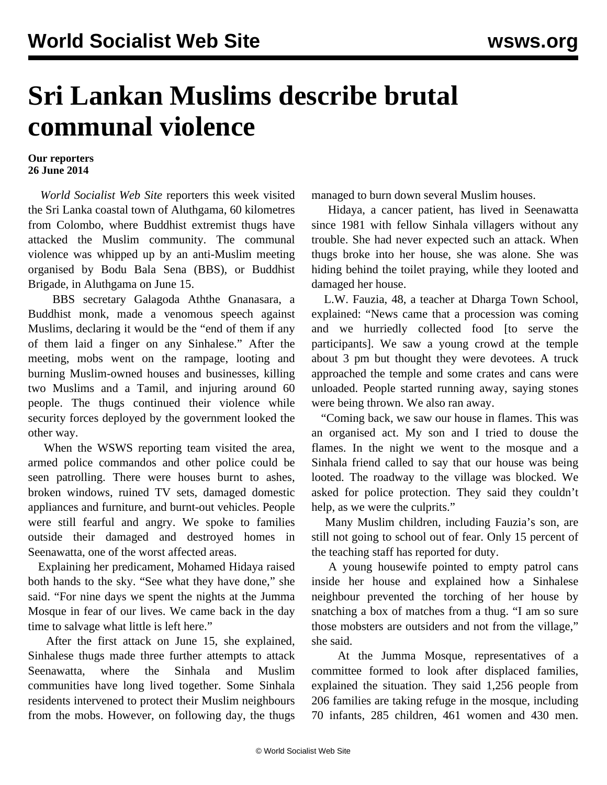## **Sri Lankan Muslims describe brutal communal violence**

## **Our reporters 26 June 2014**

 *World Socialist Web Site* reporters this week visited the Sri Lanka coastal town of Aluthgama, 60 kilometres from Colombo, where Buddhist extremist thugs have attacked the Muslim community. The communal violence was whipped up by an anti-Muslim meeting organised by Bodu Bala Sena (BBS), or Buddhist Brigade, in Aluthgama on June 15.

 BBS secretary Galagoda Aththe Gnanasara, a Buddhist monk, made a venomous speech against Muslims, declaring it would be the "end of them if any of them laid a finger on any Sinhalese." After the meeting, mobs went on the rampage, looting and burning Muslim-owned houses and businesses, killing two Muslims and a Tamil, and injuring around 60 people. The thugs continued their violence while security forces deployed by the government looked the other way.

 When the WSWS reporting team visited the area, armed police commandos and other police could be seen patrolling. There were houses burnt to ashes, broken windows, ruined TV sets, damaged domestic appliances and furniture, and burnt-out vehicles. People were still fearful and angry. We spoke to families outside their damaged and destroyed homes in Seenawatta, one of the worst affected areas.

 Explaining her predicament, Mohamed Hidaya raised both hands to the sky. "See what they have done," she said. "For nine days we spent the nights at the Jumma Mosque in fear of our lives. We came back in the day time to salvage what little is left here."

 After the first attack on June 15, she explained, Sinhalese thugs made three further attempts to attack Seenawatta, where the Sinhala and Muslim communities have long lived together. Some Sinhala residents intervened to protect their Muslim neighbours from the mobs. However, on following day, the thugs

managed to burn down several Muslim houses.

 Hidaya, a cancer patient, has lived in Seenawatta since 1981 with fellow Sinhala villagers without any trouble. She had never expected such an attack. When thugs broke into her house, she was alone. She was hiding behind the toilet praying, while they looted and damaged her house.

 L.W. Fauzia, 48, a teacher at Dharga Town School, explained: "News came that a procession was coming and we hurriedly collected food [to serve the participants]. We saw a young crowd at the temple about 3 pm but thought they were devotees. A truck approached the temple and some crates and cans were unloaded. People started running away, saying stones were being thrown. We also ran away.

 "Coming back, we saw our house in flames. This was an organised act. My son and I tried to douse the flames. In the night we went to the mosque and a Sinhala friend called to say that our house was being looted. The roadway to the village was blocked. We asked for police protection. They said they couldn't help, as we were the culprits."

 Many Muslim children, including Fauzia's son, are still not going to school out of fear. Only 15 percent of the teaching staff has reported for duty.

 A young housewife pointed to empty patrol cans inside her house and explained how a Sinhalese neighbour prevented the torching of her house by snatching a box of matches from a thug. "I am so sure those mobsters are outsiders and not from the village," she said.

 At the Jumma Mosque, representatives of a committee formed to look after displaced families, explained the situation. They said 1,256 people from 206 families are taking refuge in the mosque, including 70 infants, 285 children, 461 women and 430 men.